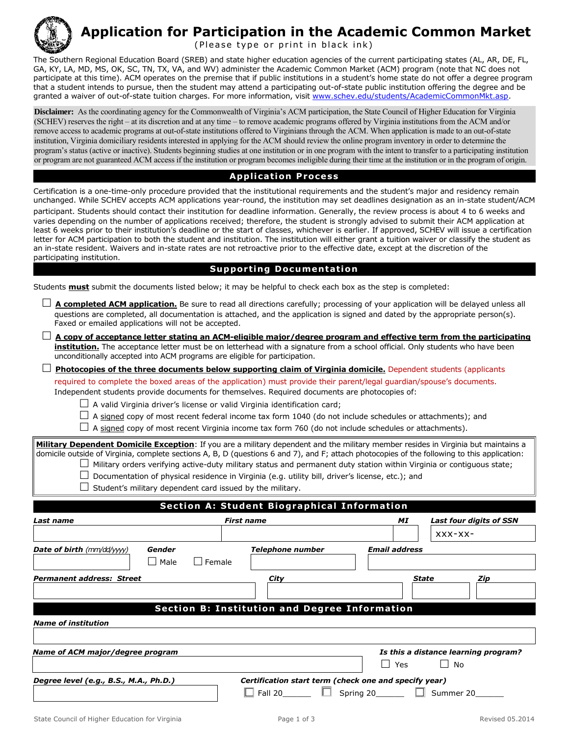

## **Application for Participation in the Academic Common Market**

(Please type or print in black ink)

The Southern Regional Education Board (SREB) and state higher education agencies of the current participating states (AL, AR, DE, FL, GA, KY, LA, MD, MS, OK, SC, TN, TX, VA, and WV) administer the Academic Common Market (ACM) program (note that NC does not participate at this time). ACM operates on the premise that if public institutions in a student's home state do not offer a degree program that a student intends to pursue, then the student may attend a participating out-of-state public institution offering the degree and be granted a waiver of out-of-state tuition charges. For more information, visit www.schev.edu/students/AcademicCommonMkt.asp.

**Disclaimer:** As the coordinating agency for the Commonwealth of Virginia's ACM participation, the State Council of Higher Education for Virginia (SCHEV) reserves the right – at its discretion and at any time – to [remove academic programs offered](http://www.schev.edu/students/AcademicCommonMkt.asp) by Virginia institutions from the ACM and/or remove access to academic programs at out-of-state institutions offered to Virginians through the ACM. When application is made to an out-of-state institution, Virginia domiciliary residents interested in applying for the ACM should review the online program inventory in order to determine the program's status (active or inactive). Students beginning studies at one institution or in one program with the intent to transfer to a participating institution or program are not guaranteed ACM access if the institution or program becomes ineligible during their time at the institution or in the program of origin.

## **Application Process**

Certification is a one-time-only procedure provided that the institutional requirements and the student's major and residency remain unchanged. While SCHEV accepts ACM applications year-round, the institution may set deadlines designation as an in-state student/ACM participant. Students should contact their institution for deadline information. Generally, the review process is about 4 to 6 weeks and varies depending on the number of applications received; therefore, the student is strongly advised to submit their ACM application at least 6 weeks prior to their institution's deadline or the start of classes, whichever is earlier. If approved, SCHEV will issue a certification letter for ACM participation to both the student and institution. The institution will either grant a tuition waiver or classify the student as an in-state resident. Waivers and in-state rates are not retroactive prior to the effective date, except at the discretion of the participating institution.

## **Supporting Documentation**

Students **must** submit the documents listed below; it may be helpful to check each box as the step is completed:

| questions are completed, all documentation is attached, and the application is signed and dated by the appropriate person(s).<br>Faxed or emailed applications will not be accepted.                                                                                                                                                                                                                                        |                                                                                                  | A completed ACM application. Be sure to read all directions carefully; processing of your application will be delayed unless all |
|-----------------------------------------------------------------------------------------------------------------------------------------------------------------------------------------------------------------------------------------------------------------------------------------------------------------------------------------------------------------------------------------------------------------------------|--------------------------------------------------------------------------------------------------|----------------------------------------------------------------------------------------------------------------------------------|
| institution. The acceptance letter must be on letterhead with a signature from a school official. Only students who have been<br>unconditionally accepted into ACM programs are eligible for participation.                                                                                                                                                                                                                 |                                                                                                  | A copy of acceptance letter stating an ACM-eligible major/degree program and effective term from the participating               |
| Photocopies of the three documents below supporting claim of Virginia domicile. Dependent students (applicants<br>required to complete the boxed areas of the application) must provide their parent/legal guardian/spouse's documents.<br>Independent students provide documents for themselves. Required documents are photocopies of:<br>$\Box$ A valid Virginia driver's license or valid Virginia identification card; |                                                                                                  |                                                                                                                                  |
| $\Box$ A signed copy of most recent federal income tax form 1040 (do not include schedules or attachments); and<br>$\Box$ A signed copy of most recent Virginia income tax form 760 (do not include schedules or attachments).                                                                                                                                                                                              |                                                                                                  |                                                                                                                                  |
| Military Dependent Domicile Exception: If you are a military dependent and the military member resides in Virginia but maintains a<br>domicile outside of Virginia, complete sections A, B, D (questions 6 and 7), and F; attach photocopies of the following to this application:<br>Student's military dependent card issued by the military.                                                                             | Documentation of physical residence in Virginia (e.g. utility bill, driver's license, etc.); and | Military orders verifying active-duty military status and permanent duty station within Virginia or contiguous state;            |
|                                                                                                                                                                                                                                                                                                                                                                                                                             | <b>Section A: Student Biographical Information</b>                                               |                                                                                                                                  |
|                                                                                                                                                                                                                                                                                                                                                                                                                             |                                                                                                  |                                                                                                                                  |
| Last name                                                                                                                                                                                                                                                                                                                                                                                                                   | <b>First name</b>                                                                                | <b>Last four digits of SSN</b><br>ΜI<br>$XXX-XX-$                                                                                |
| <b>Date of birth</b> (mm/dd/yyyy)<br>Gender<br>$\Box$ Female<br>Male                                                                                                                                                                                                                                                                                                                                                        | <b>Telephone number</b>                                                                          | <b>Email address</b>                                                                                                             |
| Permanent address: Street                                                                                                                                                                                                                                                                                                                                                                                                   | City                                                                                             | <b>State</b><br>Zip                                                                                                              |
| <b>Name of institution</b>                                                                                                                                                                                                                                                                                                                                                                                                  | <b>Section B: Institution and Degree Information</b>                                             |                                                                                                                                  |
| Name of ACM major/degree program                                                                                                                                                                                                                                                                                                                                                                                            |                                                                                                  | Is this a distance learning program?<br>$\Box$<br>Yes<br>No                                                                      |
| Degree level (e.g., B.S., M.A., Ph.D.)                                                                                                                                                                                                                                                                                                                                                                                      | Certification start term (check one and specify year)<br>Fall 20                                 | $\Box$ Summer 20<br>Spring 20                                                                                                    |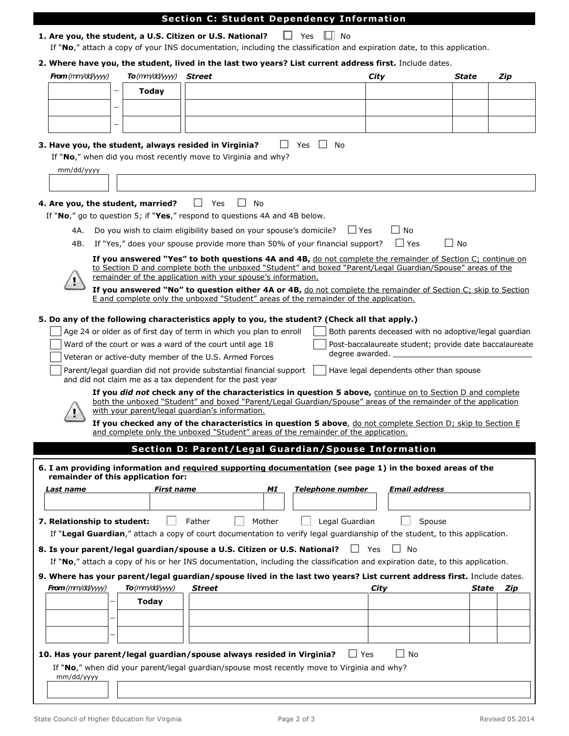|                                                                                                    | To(mm/dd/yyyy) Street |                                                                                                                                                                                                                                                                                          |                         | 2. Where have you, the student, lived in the last two years? List current address first. Include dates.<br>City | State     | Zip       |
|----------------------------------------------------------------------------------------------------|-----------------------|------------------------------------------------------------------------------------------------------------------------------------------------------------------------------------------------------------------------------------------------------------------------------------------|-------------------------|-----------------------------------------------------------------------------------------------------------------|-----------|-----------|
| <b>From</b> ( $\text{mm}/\text{dd}/\text{yyy}$ )                                                   | <b>Today</b>          |                                                                                                                                                                                                                                                                                          |                         |                                                                                                                 |           |           |
| $\overline{\phantom{0}}$                                                                           |                       |                                                                                                                                                                                                                                                                                          |                         |                                                                                                                 |           |           |
|                                                                                                    |                       |                                                                                                                                                                                                                                                                                          |                         |                                                                                                                 |           |           |
|                                                                                                    |                       |                                                                                                                                                                                                                                                                                          |                         |                                                                                                                 |           |           |
|                                                                                                    |                       | 3. Have you, the student, always resided in Virginia?<br>If "No," when did you most recently move to Virginia and why?                                                                                                                                                                   | Yes<br>No.              |                                                                                                                 |           |           |
| mm/dd/yyyy                                                                                         |                       |                                                                                                                                                                                                                                                                                          |                         |                                                                                                                 |           |           |
|                                                                                                    |                       |                                                                                                                                                                                                                                                                                          |                         |                                                                                                                 |           |           |
| 4. Are you, the student, married?                                                                  |                       | Yes<br>No<br>$\Box$<br>$\Box$<br>If "No," go to question 5; if "Yes," respond to questions 4A and 4B below.                                                                                                                                                                              |                         |                                                                                                                 |           |           |
| 4A.                                                                                                |                       | Do you wish to claim eligibility based on your spouse's domicile?                                                                                                                                                                                                                        |                         | l l Yes<br>No                                                                                                   |           |           |
| 4B.                                                                                                |                       | If "Yes," does your spouse provide more than 50% of your financial support?                                                                                                                                                                                                              |                         | $\Box$ Yes                                                                                                      | $\Box$ No |           |
|                                                                                                    |                       | If you answered "Yes" to both questions 4A and 4B, do not complete the remainder of Section C; continue on<br>to Section D and complete both the unboxed "Student" and boxed "Parent/Legal Guardian/Spouse" areas of the<br>remainder of the application with your spouse's information. |                         |                                                                                                                 |           |           |
|                                                                                                    |                       | If you answered "No" to question either 4A or 4B, do not complete the remainder of Section C; skip to Section                                                                                                                                                                            |                         |                                                                                                                 |           |           |
|                                                                                                    |                       | E and complete only the unboxed "Student" areas of the remainder of the application.                                                                                                                                                                                                     |                         |                                                                                                                 |           |           |
|                                                                                                    |                       | 5. Do any of the following characteristics apply to you, the student? (Check all that apply.)                                                                                                                                                                                            |                         |                                                                                                                 |           |           |
|                                                                                                    |                       | Age 24 or older as of first day of term in which you plan to enroll                                                                                                                                                                                                                      |                         | Both parents deceased with no adoptive/legal guardian                                                           |           |           |
|                                                                                                    |                       | Ward of the court or was a ward of the court until age 18                                                                                                                                                                                                                                |                         | Post-baccalaureate student; provide date baccalaureate                                                          |           |           |
|                                                                                                    |                       | Veteran or active-duty member of the U.S. Armed Forces                                                                                                                                                                                                                                   |                         | degree awarded.                                                                                                 |           |           |
|                                                                                                    |                       | Parent/legal guardian did not provide substantial financial support<br>and did not claim me as a tax dependent for the past year                                                                                                                                                         |                         | Have legal dependents other than spouse                                                                         |           |           |
|                                                                                                    |                       | If you did not check any of the characteristics in question 5 above, continue on to Section D and complete<br>both the unboxed "Student" and boxed "Parent/Legal Guardian/Spouse" areas of the remainder of the application                                                              |                         |                                                                                                                 |           |           |
|                                                                                                    |                       | with your parent/legal quardian's information.                                                                                                                                                                                                                                           |                         |                                                                                                                 |           |           |
|                                                                                                    |                       | If you checked any of the characteristics in question 5 above, do not complete Section D; skip to Section E<br>and complete only the unboxed "Student" areas of the remainder of the application.                                                                                        |                         |                                                                                                                 |           |           |
|                                                                                                    |                       | Section D: Parent/Legal Guardian/Spouse Information                                                                                                                                                                                                                                      |                         |                                                                                                                 |           |           |
|                                                                                                    |                       | 6. I am providing information and required supporting documentation (see page 1) in the boxed areas of the                                                                                                                                                                               |                         |                                                                                                                 |           |           |
|                                                                                                    |                       |                                                                                                                                                                                                                                                                                          |                         |                                                                                                                 |           |           |
|                                                                                                    | <b>First name</b>     | МI                                                                                                                                                                                                                                                                                       | <b>Telephone number</b> | <b>Email address</b>                                                                                            |           |           |
|                                                                                                    |                       |                                                                                                                                                                                                                                                                                          |                         |                                                                                                                 |           |           |
|                                                                                                    |                       | Father<br>Mother                                                                                                                                                                                                                                                                         | Legal Guardian          | Spouse                                                                                                          |           |           |
|                                                                                                    |                       | If "Legal Guardian," attach a copy of court documentation to verify legal guardianship of the student, to this application.                                                                                                                                                              |                         |                                                                                                                 |           |           |
|                                                                                                    |                       | 8. Is your parent/legal guardian/spouse a U.S. Citizen or U.S. National?                                                                                                                                                                                                                 |                         | $\Box$ Yes<br>∣ No                                                                                              |           |           |
|                                                                                                    |                       | If "No," attach a copy of his or her INS documentation, including the classification and expiration date, to this application.                                                                                                                                                           |                         |                                                                                                                 |           |           |
|                                                                                                    |                       | 9. Where has your parent/legal guardian/spouse lived in the last two years? List current address first. Include dates.                                                                                                                                                                   |                         |                                                                                                                 |           |           |
|                                                                                                    | $To$ ( $mm/dd$ /yyyy) | Street                                                                                                                                                                                                                                                                                   |                         | City                                                                                                            |           | State Zip |
|                                                                                                    | <b>Today</b>          |                                                                                                                                                                                                                                                                                          |                         |                                                                                                                 |           |           |
|                                                                                                    |                       |                                                                                                                                                                                                                                                                                          |                         |                                                                                                                 |           |           |
| remainder of this application for:<br>Last name<br>7. Relationship to student:<br>From (mm/dd/yyy) |                       |                                                                                                                                                                                                                                                                                          |                         |                                                                                                                 |           |           |